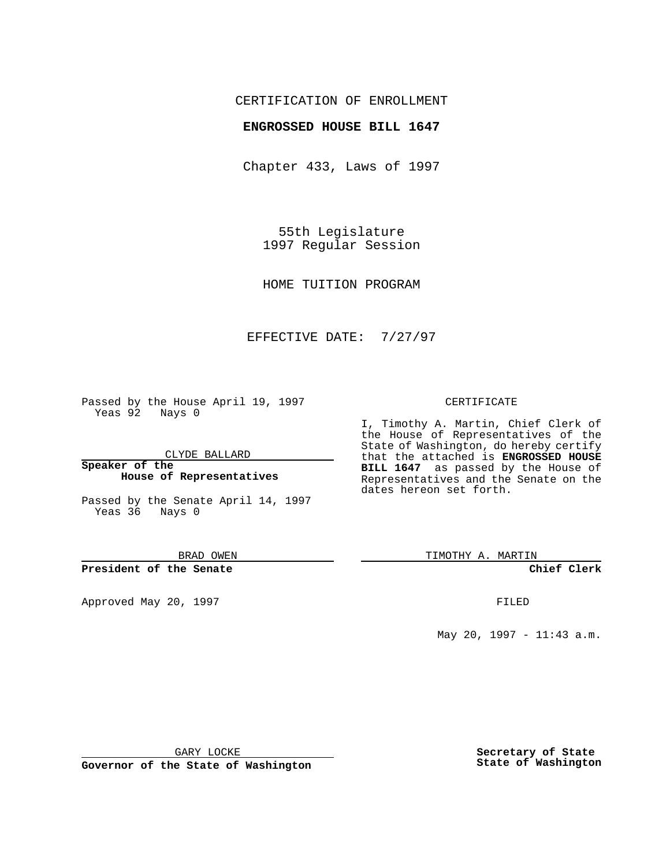## CERTIFICATION OF ENROLLMENT

#### **ENGROSSED HOUSE BILL 1647**

Chapter 433, Laws of 1997

55th Legislature 1997 Regular Session

HOME TUITION PROGRAM

## EFFECTIVE DATE: 7/27/97

Passed by the House April 19, 1997 Yeas 92 Nays 0

CLYDE BALLARD

**Speaker of the House of Representatives**

Passed by the Senate April 14, 1997 Yeas 36 Nays 0

BRAD OWEN

**President of the Senate**

Approved May 20, 1997 **FILED** 

#### CERTIFICATE

I, Timothy A. Martin, Chief Clerk of the House of Representatives of the State of Washington, do hereby certify that the attached is **ENGROSSED HOUSE BILL 1647** as passed by the House of Representatives and the Senate on the dates hereon set forth.

TIMOTHY A. MARTIN

**Chief Clerk**

May 20, 1997 - 11:43 a.m.

GARY LOCKE

**Governor of the State of Washington**

**Secretary of State State of Washington**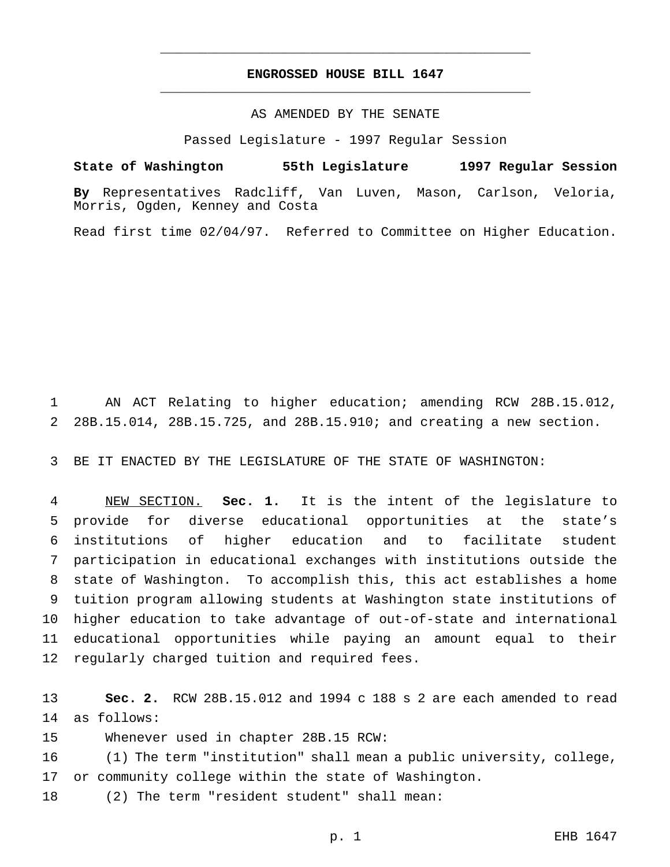# **ENGROSSED HOUSE BILL 1647** \_\_\_\_\_\_\_\_\_\_\_\_\_\_\_\_\_\_\_\_\_\_\_\_\_\_\_\_\_\_\_\_\_\_\_\_\_\_\_\_\_\_\_\_\_\_\_

\_\_\_\_\_\_\_\_\_\_\_\_\_\_\_\_\_\_\_\_\_\_\_\_\_\_\_\_\_\_\_\_\_\_\_\_\_\_\_\_\_\_\_\_\_\_\_

AS AMENDED BY THE SENATE

Passed Legislature - 1997 Regular Session

**State of Washington 55th Legislature 1997 Regular Session**

**By** Representatives Radcliff, Van Luven, Mason, Carlson, Veloria, Morris, Ogden, Kenney and Costa

Read first time 02/04/97. Referred to Committee on Higher Education.

 AN ACT Relating to higher education; amending RCW 28B.15.012, 28B.15.014, 28B.15.725, and 28B.15.910; and creating a new section.

BE IT ENACTED BY THE LEGISLATURE OF THE STATE OF WASHINGTON:

 NEW SECTION. **Sec. 1.** It is the intent of the legislature to provide for diverse educational opportunities at the state's institutions of higher education and to facilitate student participation in educational exchanges with institutions outside the state of Washington. To accomplish this, this act establishes a home tuition program allowing students at Washington state institutions of higher education to take advantage of out-of-state and international educational opportunities while paying an amount equal to their regularly charged tuition and required fees.

 **Sec. 2.** RCW 28B.15.012 and 1994 c 188 s 2 are each amended to read as follows:

Whenever used in chapter 28B.15 RCW:

 (1) The term "institution" shall mean a public university, college, or community college within the state of Washington.

(2) The term "resident student" shall mean: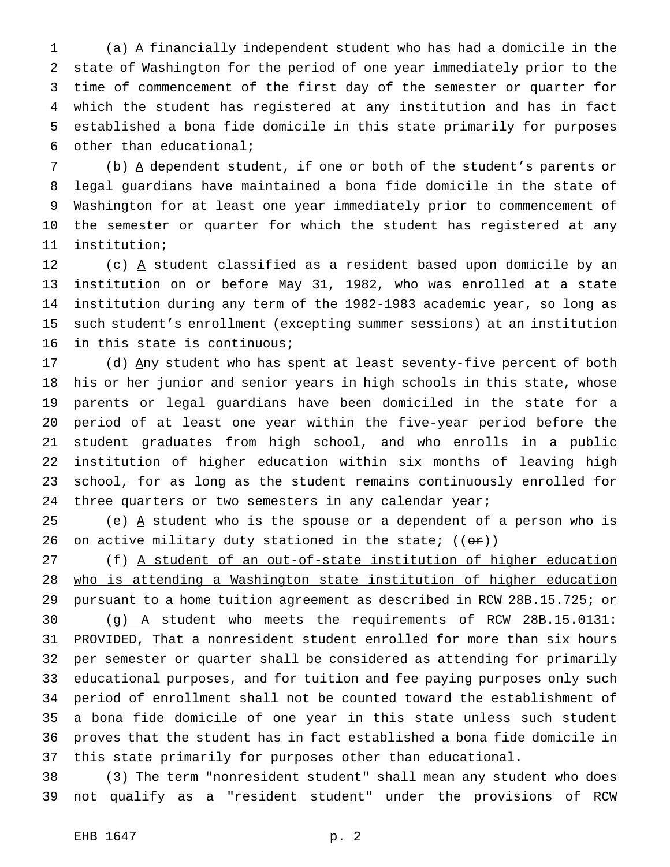(a) A financially independent student who has had a domicile in the state of Washington for the period of one year immediately prior to the time of commencement of the first day of the semester or quarter for which the student has registered at any institution and has in fact established a bona fide domicile in this state primarily for purposes other than educational;

7 (b)  $\underline{A}$  dependent student, if one or both of the student's parents or legal guardians have maintained a bona fide domicile in the state of Washington for at least one year immediately prior to commencement of the semester or quarter for which the student has registered at any institution;

12 (c)  $\overline{A}$  student classified as a resident based upon domicile by an institution on or before May 31, 1982, who was enrolled at a state institution during any term of the 1982-1983 academic year, so long as such student's enrollment (excepting summer sessions) at an institution in this state is continuous;

17 (d) Any student who has spent at least seventy-five percent of both his or her junior and senior years in high schools in this state, whose parents or legal guardians have been domiciled in the state for a period of at least one year within the five-year period before the student graduates from high school, and who enrolls in a public institution of higher education within six months of leaving high school, for as long as the student remains continuously enrolled for 24 three quarters or two semesters in any calendar year;

25 (e)  $\underline{A}$  student who is the spouse or a dependent of a person who is 26 on active military duty stationed in the state;  $((\theta \cdot \hat{r}))$ 

 (f) A student of an out-of-state institution of higher education who is attending a Washington state institution of higher education pursuant to a home tuition agreement as described in RCW 28B.15.725; or

 (g) A student who meets the requirements of RCW 28B.15.0131: PROVIDED, That a nonresident student enrolled for more than six hours per semester or quarter shall be considered as attending for primarily educational purposes, and for tuition and fee paying purposes only such period of enrollment shall not be counted toward the establishment of a bona fide domicile of one year in this state unless such student proves that the student has in fact established a bona fide domicile in this state primarily for purposes other than educational.

 (3) The term "nonresident student" shall mean any student who does not qualify as a "resident student" under the provisions of RCW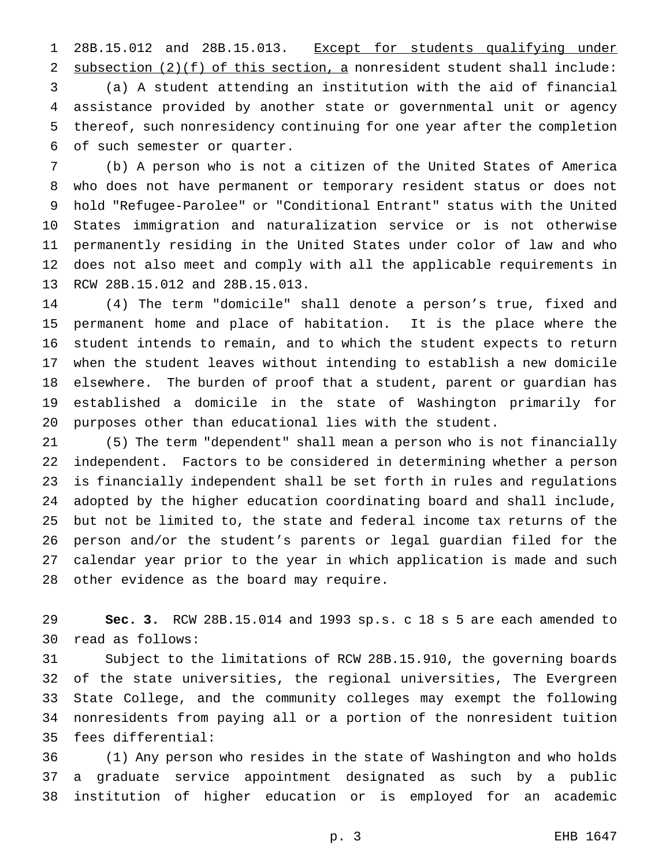1 28B.15.012 and 28B.15.013. Except for students qualifying under 2 subsection (2)(f) of this section, a nonresident student shall include: (a) A student attending an institution with the aid of financial assistance provided by another state or governmental unit or agency thereof, such nonresidency continuing for one year after the completion

of such semester or quarter.

 (b) A person who is not a citizen of the United States of America who does not have permanent or temporary resident status or does not hold "Refugee-Parolee" or "Conditional Entrant" status with the United States immigration and naturalization service or is not otherwise permanently residing in the United States under color of law and who does not also meet and comply with all the applicable requirements in RCW 28B.15.012 and 28B.15.013.

 (4) The term "domicile" shall denote a person's true, fixed and permanent home and place of habitation. It is the place where the student intends to remain, and to which the student expects to return when the student leaves without intending to establish a new domicile elsewhere. The burden of proof that a student, parent or guardian has established a domicile in the state of Washington primarily for purposes other than educational lies with the student.

 (5) The term "dependent" shall mean a person who is not financially independent. Factors to be considered in determining whether a person is financially independent shall be set forth in rules and regulations adopted by the higher education coordinating board and shall include, but not be limited to, the state and federal income tax returns of the person and/or the student's parents or legal guardian filed for the calendar year prior to the year in which application is made and such other evidence as the board may require.

 **Sec. 3.** RCW 28B.15.014 and 1993 sp.s. c 18 s 5 are each amended to read as follows:

 Subject to the limitations of RCW 28B.15.910, the governing boards of the state universities, the regional universities, The Evergreen State College, and the community colleges may exempt the following nonresidents from paying all or a portion of the nonresident tuition fees differential:

 (1) Any person who resides in the state of Washington and who holds a graduate service appointment designated as such by a public institution of higher education or is employed for an academic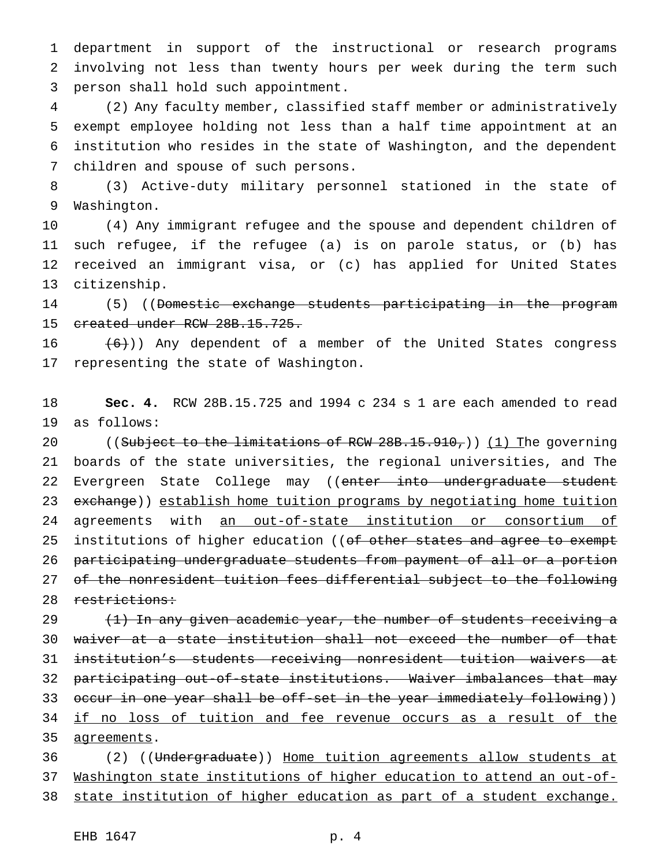department in support of the instructional or research programs involving not less than twenty hours per week during the term such person shall hold such appointment.

 (2) Any faculty member, classified staff member or administratively exempt employee holding not less than a half time appointment at an institution who resides in the state of Washington, and the dependent children and spouse of such persons.

 (3) Active-duty military personnel stationed in the state of Washington.

 (4) Any immigrant refugee and the spouse and dependent children of such refugee, if the refugee (a) is on parole status, or (b) has received an immigrant visa, or (c) has applied for United States citizenship.

14 (5) ((<del>Domestic exchange students participating in the program</del> created under RCW 28B.15.725.

16  $(6)$ )) Any dependent of a member of the United States congress representing the state of Washington.

 **Sec. 4.** RCW 28B.15.725 and 1994 c 234 s 1 are each amended to read as follows:

20 ((Subject to the limitations of RCW  $28B.15.910$ ,)) (1) The governing boards of the state universities, the regional universities, and The 22 Evergreen State College may ((enter into undergraduate student 23 exchange)) establish home tuition programs by negotiating home tuition 24 agreements with an out-of-state institution or consortium of 25 institutions of higher education ((of other states and agree to exempt participating undergraduate students from payment of all or a portion of the nonresident tuition fees differential subject to the following 28 restrictions:

 $(1)$  In any given academic year, the number of students receiving a waiver at a state institution shall not exceed the number of that institution's students receiving nonresident tuition waivers at participating out-of-state institutions. Waiver imbalances that may 33 occur in one year shall be off-set in the year immediately following)) 34 if no loss of tuition and fee revenue occurs as a result of the 35 agreements.

 (2) ((Undergraduate)) Home tuition agreements allow students at Washington state institutions of higher education to attend an out-of-state institution of higher education as part of a student exchange.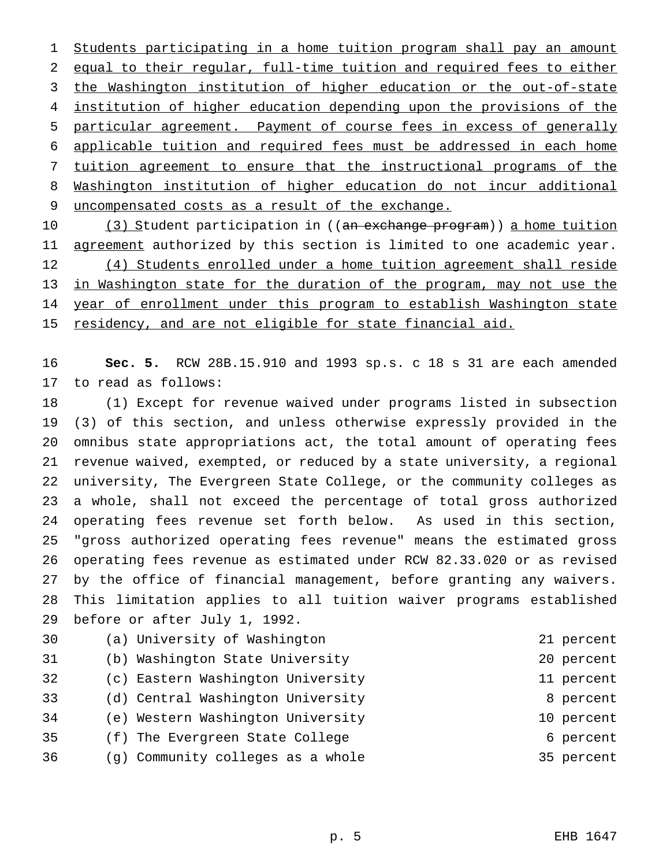Students participating in a home tuition program shall pay an amount equal to their regular, full-time tuition and required fees to either the Washington institution of higher education or the out-of-state institution of higher education depending upon the provisions of the particular agreement. Payment of course fees in excess of generally applicable tuition and required fees must be addressed in each home tuition agreement to ensure that the instructional programs of the Washington institution of higher education do not incur additional uncompensated costs as a result of the exchange.

10 (3) Student participation in ((an exchange program)) a home tuition 11 agreement authorized by this section is limited to one academic year. 12 (4) Students enrolled under a home tuition agreement shall reside in Washington state for the duration of the program, may not use the 14 year of enrollment under this program to establish Washington state 15 residency, and are not eligible for state financial aid.

 **Sec. 5.** RCW 28B.15.910 and 1993 sp.s. c 18 s 31 are each amended to read as follows:

 (1) Except for revenue waived under programs listed in subsection (3) of this section, and unless otherwise expressly provided in the omnibus state appropriations act, the total amount of operating fees revenue waived, exempted, or reduced by a state university, a regional university, The Evergreen State College, or the community colleges as a whole, shall not exceed the percentage of total gross authorized operating fees revenue set forth below. As used in this section, "gross authorized operating fees revenue" means the estimated gross operating fees revenue as estimated under RCW 82.33.020 or as revised by the office of financial management, before granting any waivers. This limitation applies to all tuition waiver programs established before or after July 1, 1992.

| 30 | (a) University of Washington      | 21 percent |
|----|-----------------------------------|------------|
| 31 | (b) Washington State University   | 20 percent |
| 32 | (c) Eastern Washington University | 11 percent |
| 33 | (d) Central Washington University | 8 percent  |
| 34 | (e) Western Washington University | 10 percent |
| 35 | (f) The Evergreen State College   | 6 percent  |
| 36 | (g) Community colleges as a whole | 35 percent |
|    |                                   |            |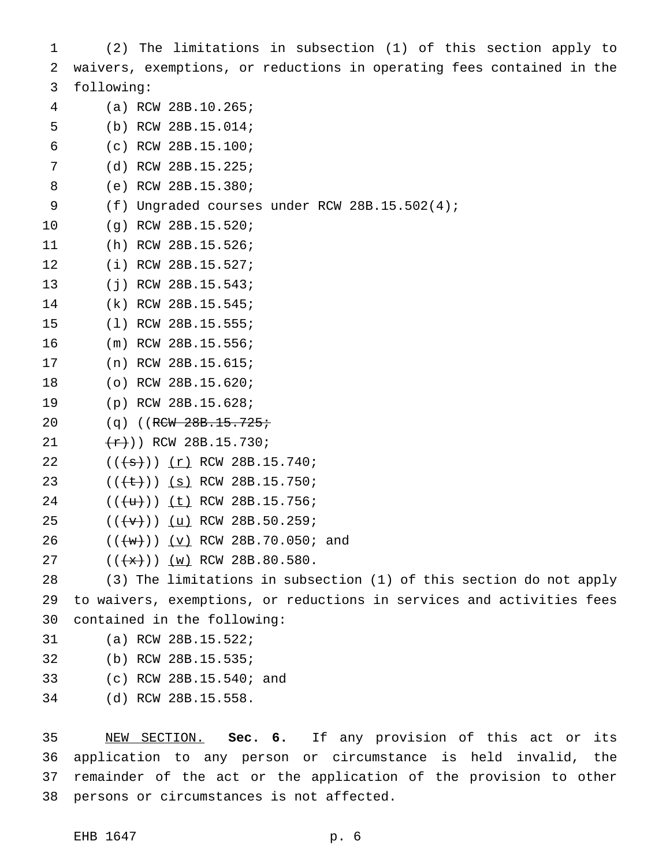(2) The limitations in subsection (1) of this section apply to waivers, exemptions, or reductions in operating fees contained in the following: (a) RCW 28B.10.265; (b) RCW 28B.15.014; (c) RCW 28B.15.100; (d) RCW 28B.15.225; (e) RCW 28B.15.380; (f) Ungraded courses under RCW 28B.15.502(4); (g) RCW 28B.15.520; (h) RCW 28B.15.526; (i) RCW 28B.15.527; (j) RCW 28B.15.543; (k) RCW 28B.15.545; (l) RCW 28B.15.555; (m) RCW 28B.15.556; (n) RCW 28B.15.615; (o) RCW 28B.15.620; (p) RCW 28B.15.628; 20 (q) ((RCW 28B.15.725;  $(\frac{r}{r})$ ) RCW 28B.15.730;  $((\{\texttt{s}\}))(r)$  RCW 28B.15.740;  $((\text{+}\text{+}))(\text{s})$  RCW 28B.15.750;  $((+u))$  (t) RCW 28B.15.756;  $((\{\text{v}\}))(\text{u})$  RCW 28B.50.259; 26 (((w))) (v) RCW 28B.70.050; and  $((+x))$   $(w)$  RCW 28B.80.580. (3) The limitations in subsection (1) of this section do not apply to waivers, exemptions, or reductions in services and activities fees contained in the following: (a) RCW 28B.15.522; (b) RCW 28B.15.535; (c) RCW 28B.15.540; and (d) RCW 28B.15.558.

 NEW SECTION. **Sec. 6.** If any provision of this act or its application to any person or circumstance is held invalid, the remainder of the act or the application of the provision to other persons or circumstances is not affected.